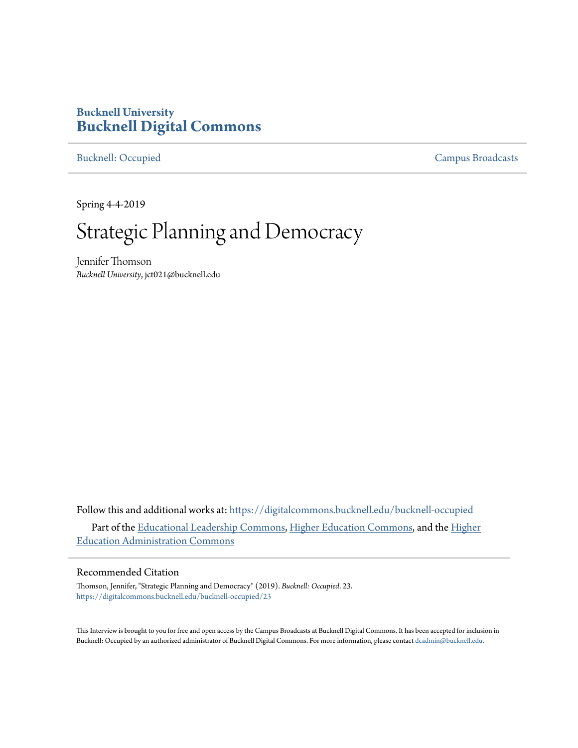## **Bucknell University [Bucknell Digital Commons](https://digitalcommons.bucknell.edu?utm_source=digitalcommons.bucknell.edu%2Fbucknell-occupied%2F23&utm_medium=PDF&utm_campaign=PDFCoverPages)**

[Bucknell: Occupied](https://digitalcommons.bucknell.edu/bucknell-occupied?utm_source=digitalcommons.bucknell.edu%2Fbucknell-occupied%2F23&utm_medium=PDF&utm_campaign=PDFCoverPages) [Campus Broadcasts](https://digitalcommons.bucknell.edu/campus-broadcasts?utm_source=digitalcommons.bucknell.edu%2Fbucknell-occupied%2F23&utm_medium=PDF&utm_campaign=PDFCoverPages)

Spring 4-4-2019

# Strategic Planning and Democracy

Jennifer Thomson *Bucknell University*, jct021@bucknell.edu

Follow this and additional works at: [https://digitalcommons.bucknell.edu/bucknell-occupied](https://digitalcommons.bucknell.edu/bucknell-occupied?utm_source=digitalcommons.bucknell.edu%2Fbucknell-occupied%2F23&utm_medium=PDF&utm_campaign=PDFCoverPages) Part of the [Educational Leadership Commons](http://network.bepress.com/hgg/discipline/1230?utm_source=digitalcommons.bucknell.edu%2Fbucknell-occupied%2F23&utm_medium=PDF&utm_campaign=PDFCoverPages), [Higher Education Commons](http://network.bepress.com/hgg/discipline/1245?utm_source=digitalcommons.bucknell.edu%2Fbucknell-occupied%2F23&utm_medium=PDF&utm_campaign=PDFCoverPages), and the [Higher](http://network.bepress.com/hgg/discipline/791?utm_source=digitalcommons.bucknell.edu%2Fbucknell-occupied%2F23&utm_medium=PDF&utm_campaign=PDFCoverPages) [Education Administration Commons](http://network.bepress.com/hgg/discipline/791?utm_source=digitalcommons.bucknell.edu%2Fbucknell-occupied%2F23&utm_medium=PDF&utm_campaign=PDFCoverPages)

#### Recommended Citation

Thomson, Jennifer, "Strategic Planning and Democracy" (2019). *Bucknell: Occupied*. 23. [https://digitalcommons.bucknell.edu/bucknell-occupied/23](https://digitalcommons.bucknell.edu/bucknell-occupied/23?utm_source=digitalcommons.bucknell.edu%2Fbucknell-occupied%2F23&utm_medium=PDF&utm_campaign=PDFCoverPages)

This Interview is brought to you for free and open access by the Campus Broadcasts at Bucknell Digital Commons. It has been accepted for inclusion in Bucknell: Occupied by an authorized administrator of Bucknell Digital Commons. For more information, please contact [dcadmin@bucknell.edu](mailto:dcadmin@bucknell.edu).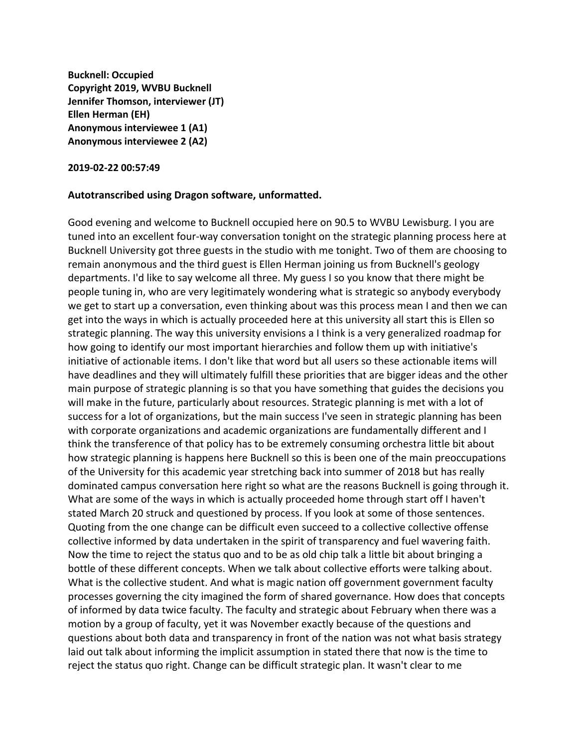**Bucknell: Occupied Copyright 2019, WVBU Bucknell Jennifer Thomson, interviewer (JT) Ellen Herman (EH) Anonymous interviewee 1 (A1) Anonymous interviewee 2 (A2)**

#### **2019-02-22 00:57:49**

### **Autotranscribed using Dragon software, unformatted.**

Good evening and welcome to Bucknell occupied here on 90.5 to WVBU Lewisburg. I you are tuned into an excellent four-way conversation tonight on the strategic planning process here at Bucknell University got three guests in the studio with me tonight. Two of them are choosing to remain anonymous and the third guest is Ellen Herman joining us from Bucknell's geology departments. I'd like to say welcome all three. My guess I so you know that there might be people tuning in, who are very legitimately wondering what is strategic so anybody everybody we get to start up a conversation, even thinking about was this process mean I and then we can get into the ways in which is actually proceeded here at this university all start this is Ellen so strategic planning. The way this university envisions a I think is a very generalized roadmap for how going to identify our most important hierarchies and follow them up with initiative's initiative of actionable items. I don't like that word but all users so these actionable items will have deadlines and they will ultimately fulfill these priorities that are bigger ideas and the other main purpose of strategic planning is so that you have something that guides the decisions you will make in the future, particularly about resources. Strategic planning is met with a lot of success for a lot of organizations, but the main success I've seen in strategic planning has been with corporate organizations and academic organizations are fundamentally different and I think the transference of that policy has to be extremely consuming orchestra little bit about how strategic planning is happens here Bucknell so this is been one of the main preoccupations of the University for this academic year stretching back into summer of 2018 but has really dominated campus conversation here right so what are the reasons Bucknell is going through it. What are some of the ways in which is actually proceeded home through start off I haven't stated March 20 struck and questioned by process. If you look at some of those sentences. Quoting from the one change can be difficult even succeed to a collective collective offense collective informed by data undertaken in the spirit of transparency and fuel wavering faith. Now the time to reject the status quo and to be as old chip talk a little bit about bringing a bottle of these different concepts. When we talk about collective efforts were talking about. What is the collective student. And what is magic nation off government government faculty processes governing the city imagined the form of shared governance. How does that concepts of informed by data twice faculty. The faculty and strategic about February when there was a motion by a group of faculty, yet it was November exactly because of the questions and questions about both data and transparency in front of the nation was not what basis strategy laid out talk about informing the implicit assumption in stated there that now is the time to reject the status quo right. Change can be difficult strategic plan. It wasn't clear to me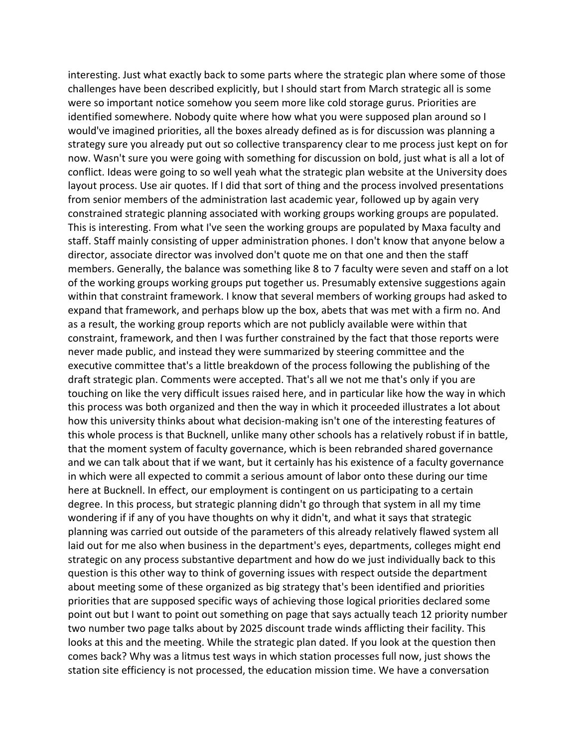interesting. Just what exactly back to some parts where the strategic plan where some of those challenges have been described explicitly, but I should start from March strategic all is some were so important notice somehow you seem more like cold storage gurus. Priorities are identified somewhere. Nobody quite where how what you were supposed plan around so I would've imagined priorities, all the boxes already defined as is for discussion was planning a strategy sure you already put out so collective transparency clear to me process just kept on for now. Wasn't sure you were going with something for discussion on bold, just what is all a lot of conflict. Ideas were going to so well yeah what the strategic plan website at the University does layout process. Use air quotes. If I did that sort of thing and the process involved presentations from senior members of the administration last academic year, followed up by again very constrained strategic planning associated with working groups working groups are populated. This is interesting. From what I've seen the working groups are populated by Maxa faculty and staff. Staff mainly consisting of upper administration phones. I don't know that anyone below a director, associate director was involved don't quote me on that one and then the staff members. Generally, the balance was something like 8 to 7 faculty were seven and staff on a lot of the working groups working groups put together us. Presumably extensive suggestions again within that constraint framework. I know that several members of working groups had asked to expand that framework, and perhaps blow up the box, abets that was met with a firm no. And as a result, the working group reports which are not publicly available were within that constraint, framework, and then I was further constrained by the fact that those reports were never made public, and instead they were summarized by steering committee and the executive committee that's a little breakdown of the process following the publishing of the draft strategic plan. Comments were accepted. That's all we not me that's only if you are touching on like the very difficult issues raised here, and in particular like how the way in which this process was both organized and then the way in which it proceeded illustrates a lot about how this university thinks about what decision-making isn't one of the interesting features of this whole process is that Bucknell, unlike many other schools has a relatively robust if in battle, that the moment system of faculty governance, which is been rebranded shared governance and we can talk about that if we want, but it certainly has his existence of a faculty governance in which were all expected to commit a serious amount of labor onto these during our time here at Bucknell. In effect, our employment is contingent on us participating to a certain degree. In this process, but strategic planning didn't go through that system in all my time wondering if if any of you have thoughts on why it didn't, and what it says that strategic planning was carried out outside of the parameters of this already relatively flawed system all laid out for me also when business in the department's eyes, departments, colleges might end strategic on any process substantive department and how do we just individually back to this question is this other way to think of governing issues with respect outside the department about meeting some of these organized as big strategy that's been identified and priorities priorities that are supposed specific ways of achieving those logical priorities declared some point out but I want to point out something on page that says actually teach 12 priority number two number two page talks about by 2025 discount trade winds afflicting their facility. This looks at this and the meeting. While the strategic plan dated. If you look at the question then comes back? Why was a litmus test ways in which station processes full now, just shows the station site efficiency is not processed, the education mission time. We have a conversation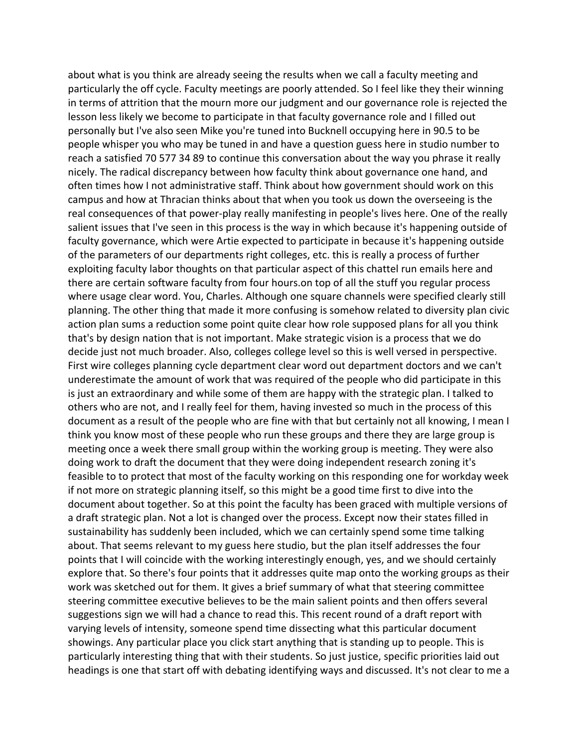about what is you think are already seeing the results when we call a faculty meeting and particularly the off cycle. Faculty meetings are poorly attended. So I feel like they their winning in terms of attrition that the mourn more our judgment and our governance role is rejected the lesson less likely we become to participate in that faculty governance role and I filled out personally but I've also seen Mike you're tuned into Bucknell occupying here in 90.5 to be people whisper you who may be tuned in and have a question guess here in studio number to reach a satisfied 70 577 34 89 to continue this conversation about the way you phrase it really nicely. The radical discrepancy between how faculty think about governance one hand, and often times how I not administrative staff. Think about how government should work on this campus and how at Thracian thinks about that when you took us down the overseeing is the real consequences of that power-play really manifesting in people's lives here. One of the really salient issues that I've seen in this process is the way in which because it's happening outside of faculty governance, which were Artie expected to participate in because it's happening outside of the parameters of our departments right colleges, etc. this is really a process of further exploiting faculty labor thoughts on that particular aspect of this chattel run emails here and there are certain software faculty from four hours.on top of all the stuff you regular process where usage clear word. You, Charles. Although one square channels were specified clearly still planning. The other thing that made it more confusing is somehow related to diversity plan civic action plan sums a reduction some point quite clear how role supposed plans for all you think that's by design nation that is not important. Make strategic vision is a process that we do decide just not much broader. Also, colleges college level so this is well versed in perspective. First wire colleges planning cycle department clear word out department doctors and we can't underestimate the amount of work that was required of the people who did participate in this is just an extraordinary and while some of them are happy with the strategic plan. I talked to others who are not, and I really feel for them, having invested so much in the process of this document as a result of the people who are fine with that but certainly not all knowing, I mean I think you know most of these people who run these groups and there they are large group is meeting once a week there small group within the working group is meeting. They were also doing work to draft the document that they were doing independent research zoning it's feasible to to protect that most of the faculty working on this responding one for workday week if not more on strategic planning itself, so this might be a good time first to dive into the document about together. So at this point the faculty has been graced with multiple versions of a draft strategic plan. Not a lot is changed over the process. Except now their states filled in sustainability has suddenly been included, which we can certainly spend some time talking about. That seems relevant to my guess here studio, but the plan itself addresses the four points that I will coincide with the working interestingly enough, yes, and we should certainly explore that. So there's four points that it addresses quite map onto the working groups as their work was sketched out for them. It gives a brief summary of what that steering committee steering committee executive believes to be the main salient points and then offers several suggestions sign we will had a chance to read this. This recent round of a draft report with varying levels of intensity, someone spend time dissecting what this particular document showings. Any particular place you click start anything that is standing up to people. This is particularly interesting thing that with their students. So just justice, specific priorities laid out headings is one that start off with debating identifying ways and discussed. It's not clear to me a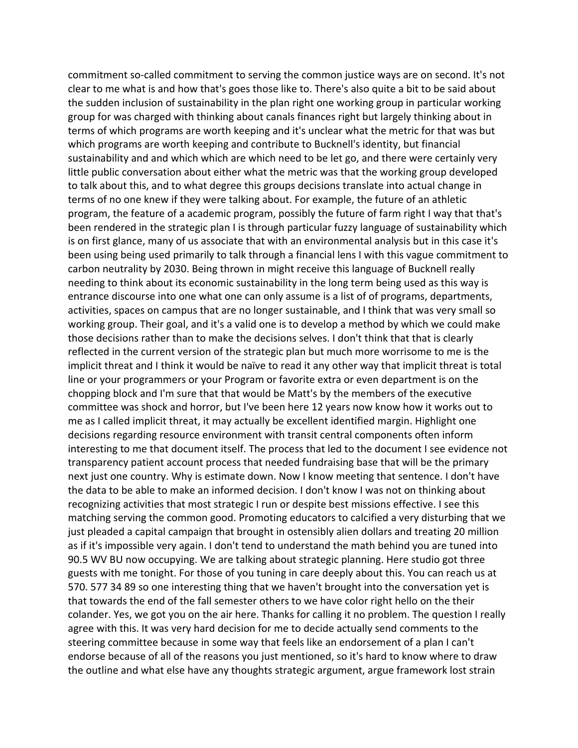commitment so-called commitment to serving the common justice ways are on second. It's not clear to me what is and how that's goes those like to. There's also quite a bit to be said about the sudden inclusion of sustainability in the plan right one working group in particular working group for was charged with thinking about canals finances right but largely thinking about in terms of which programs are worth keeping and it's unclear what the metric for that was but which programs are worth keeping and contribute to Bucknell's identity, but financial sustainability and and which which are which need to be let go, and there were certainly very little public conversation about either what the metric was that the working group developed to talk about this, and to what degree this groups decisions translate into actual change in terms of no one knew if they were talking about. For example, the future of an athletic program, the feature of a academic program, possibly the future of farm right I way that that's been rendered in the strategic plan I is through particular fuzzy language of sustainability which is on first glance, many of us associate that with an environmental analysis but in this case it's been using being used primarily to talk through a financial lens I with this vague commitment to carbon neutrality by 2030. Being thrown in might receive this language of Bucknell really needing to think about its economic sustainability in the long term being used as this way is entrance discourse into one what one can only assume is a list of of programs, departments, activities, spaces on campus that are no longer sustainable, and I think that was very small so working group. Their goal, and it's a valid one is to develop a method by which we could make those decisions rather than to make the decisions selves. I don't think that that is clearly reflected in the current version of the strategic plan but much more worrisome to me is the implicit threat and I think it would be naïve to read it any other way that implicit threat is total line or your programmers or your Program or favorite extra or even department is on the chopping block and I'm sure that that would be Matt's by the members of the executive committee was shock and horror, but I've been here 12 years now know how it works out to me as I called implicit threat, it may actually be excellent identified margin. Highlight one decisions regarding resource environment with transit central components often inform interesting to me that document itself. The process that led to the document I see evidence not transparency patient account process that needed fundraising base that will be the primary next just one country. Why is estimate down. Now I know meeting that sentence. I don't have the data to be able to make an informed decision. I don't know I was not on thinking about recognizing activities that most strategic I run or despite best missions effective. I see this matching serving the common good. Promoting educators to calcified a very disturbing that we just pleaded a capital campaign that brought in ostensibly alien dollars and treating 20 million as if it's impossible very again. I don't tend to understand the math behind you are tuned into 90.5 WV BU now occupying. We are talking about strategic planning. Here studio got three guests with me tonight. For those of you tuning in care deeply about this. You can reach us at 570. 577 34 89 so one interesting thing that we haven't brought into the conversation yet is that towards the end of the fall semester others to we have color right hello on the their colander. Yes, we got you on the air here. Thanks for calling it no problem. The question I really agree with this. It was very hard decision for me to decide actually send comments to the steering committee because in some way that feels like an endorsement of a plan I can't endorse because of all of the reasons you just mentioned, so it's hard to know where to draw the outline and what else have any thoughts strategic argument, argue framework lost strain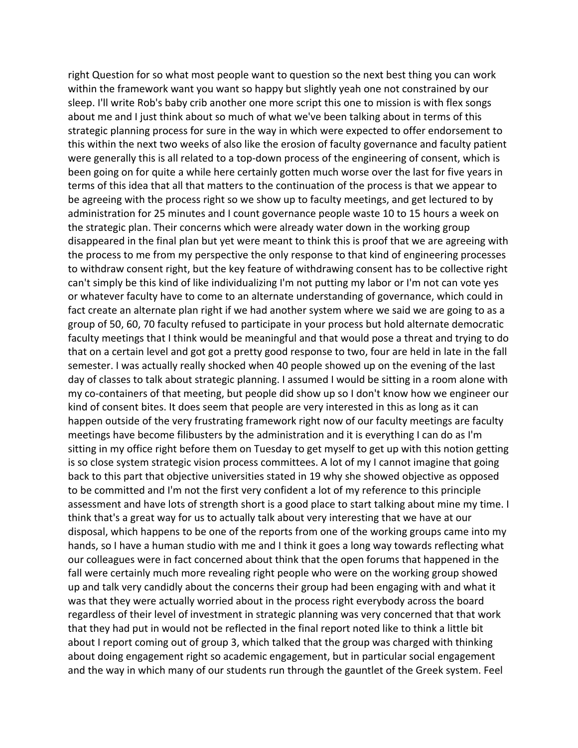right Question for so what most people want to question so the next best thing you can work within the framework want you want so happy but slightly yeah one not constrained by our sleep. I'll write Rob's baby crib another one more script this one to mission is with flex songs about me and I just think about so much of what we've been talking about in terms of this strategic planning process for sure in the way in which were expected to offer endorsement to this within the next two weeks of also like the erosion of faculty governance and faculty patient were generally this is all related to a top-down process of the engineering of consent, which is been going on for quite a while here certainly gotten much worse over the last for five years in terms of this idea that all that matters to the continuation of the process is that we appear to be agreeing with the process right so we show up to faculty meetings, and get lectured to by administration for 25 minutes and I count governance people waste 10 to 15 hours a week on the strategic plan. Their concerns which were already water down in the working group disappeared in the final plan but yet were meant to think this is proof that we are agreeing with the process to me from my perspective the only response to that kind of engineering processes to withdraw consent right, but the key feature of withdrawing consent has to be collective right can't simply be this kind of like individualizing I'm not putting my labor or I'm not can vote yes or whatever faculty have to come to an alternate understanding of governance, which could in fact create an alternate plan right if we had another system where we said we are going to as a group of 50, 60, 70 faculty refused to participate in your process but hold alternate democratic faculty meetings that I think would be meaningful and that would pose a threat and trying to do that on a certain level and got got a pretty good response to two, four are held in late in the fall semester. I was actually really shocked when 40 people showed up on the evening of the last day of classes to talk about strategic planning. I assumed I would be sitting in a room alone with my co-containers of that meeting, but people did show up so I don't know how we engineer our kind of consent bites. It does seem that people are very interested in this as long as it can happen outside of the very frustrating framework right now of our faculty meetings are faculty meetings have become filibusters by the administration and it is everything I can do as I'm sitting in my office right before them on Tuesday to get myself to get up with this notion getting is so close system strategic vision process committees. A lot of my I cannot imagine that going back to this part that objective universities stated in 19 why she showed objective as opposed to be committed and I'm not the first very confident a lot of my reference to this principle assessment and have lots of strength short is a good place to start talking about mine my time. I think that's a great way for us to actually talk about very interesting that we have at our disposal, which happens to be one of the reports from one of the working groups came into my hands, so I have a human studio with me and I think it goes a long way towards reflecting what our colleagues were in fact concerned about think that the open forums that happened in the fall were certainly much more revealing right people who were on the working group showed up and talk very candidly about the concerns their group had been engaging with and what it was that they were actually worried about in the process right everybody across the board regardless of their level of investment in strategic planning was very concerned that that work that they had put in would not be reflected in the final report noted like to think a little bit about I report coming out of group 3, which talked that the group was charged with thinking about doing engagement right so academic engagement, but in particular social engagement and the way in which many of our students run through the gauntlet of the Greek system. Feel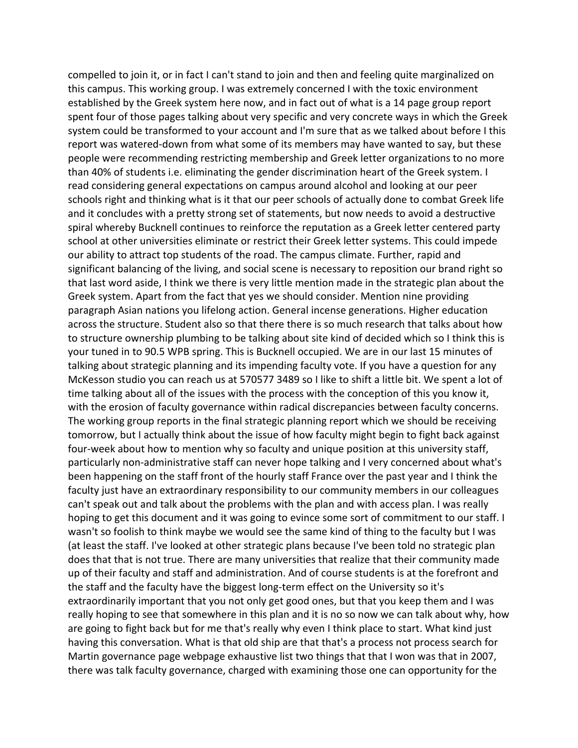compelled to join it, or in fact I can't stand to join and then and feeling quite marginalized on this campus. This working group. I was extremely concerned I with the toxic environment established by the Greek system here now, and in fact out of what is a 14 page group report spent four of those pages talking about very specific and very concrete ways in which the Greek system could be transformed to your account and I'm sure that as we talked about before I this report was watered-down from what some of its members may have wanted to say, but these people were recommending restricting membership and Greek letter organizations to no more than 40% of students i.e. eliminating the gender discrimination heart of the Greek system. I read considering general expectations on campus around alcohol and looking at our peer schools right and thinking what is it that our peer schools of actually done to combat Greek life and it concludes with a pretty strong set of statements, but now needs to avoid a destructive spiral whereby Bucknell continues to reinforce the reputation as a Greek letter centered party school at other universities eliminate or restrict their Greek letter systems. This could impede our ability to attract top students of the road. The campus climate. Further, rapid and significant balancing of the living, and social scene is necessary to reposition our brand right so that last word aside, I think we there is very little mention made in the strategic plan about the Greek system. Apart from the fact that yes we should consider. Mention nine providing paragraph Asian nations you lifelong action. General incense generations. Higher education across the structure. Student also so that there there is so much research that talks about how to structure ownership plumbing to be talking about site kind of decided which so I think this is your tuned in to 90.5 WPB spring. This is Bucknell occupied. We are in our last 15 minutes of talking about strategic planning and its impending faculty vote. If you have a question for any McKesson studio you can reach us at 570577 3489 so I like to shift a little bit. We spent a lot of time talking about all of the issues with the process with the conception of this you know it, with the erosion of faculty governance within radical discrepancies between faculty concerns. The working group reports in the final strategic planning report which we should be receiving tomorrow, but I actually think about the issue of how faculty might begin to fight back against four-week about how to mention why so faculty and unique position at this university staff, particularly non-administrative staff can never hope talking and I very concerned about what's been happening on the staff front of the hourly staff France over the past year and I think the faculty just have an extraordinary responsibility to our community members in our colleagues can't speak out and talk about the problems with the plan and with access plan. I was really hoping to get this document and it was going to evince some sort of commitment to our staff. I wasn't so foolish to think maybe we would see the same kind of thing to the faculty but I was (at least the staff. I've looked at other strategic plans because I've been told no strategic plan does that that is not true. There are many universities that realize that their community made up of their faculty and staff and administration. And of course students is at the forefront and the staff and the faculty have the biggest long-term effect on the University so it's extraordinarily important that you not only get good ones, but that you keep them and I was really hoping to see that somewhere in this plan and it is no so now we can talk about why, how are going to fight back but for me that's really why even I think place to start. What kind just having this conversation. What is that old ship are that that's a process not process search for Martin governance page webpage exhaustive list two things that that I won was that in 2007, there was talk faculty governance, charged with examining those one can opportunity for the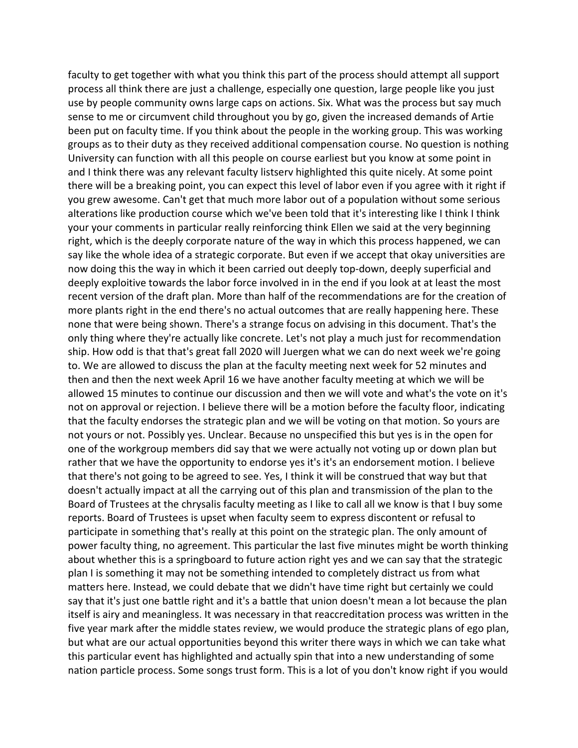faculty to get together with what you think this part of the process should attempt all support process all think there are just a challenge, especially one question, large people like you just use by people community owns large caps on actions. Six. What was the process but say much sense to me or circumvent child throughout you by go, given the increased demands of Artie been put on faculty time. If you think about the people in the working group. This was working groups as to their duty as they received additional compensation course. No question is nothing University can function with all this people on course earliest but you know at some point in and I think there was any relevant faculty listserv highlighted this quite nicely. At some point there will be a breaking point, you can expect this level of labor even if you agree with it right if you grew awesome. Can't get that much more labor out of a population without some serious alterations like production course which we've been told that it's interesting like I think I think your your comments in particular really reinforcing think Ellen we said at the very beginning right, which is the deeply corporate nature of the way in which this process happened, we can say like the whole idea of a strategic corporate. But even if we accept that okay universities are now doing this the way in which it been carried out deeply top-down, deeply superficial and deeply exploitive towards the labor force involved in in the end if you look at at least the most recent version of the draft plan. More than half of the recommendations are for the creation of more plants right in the end there's no actual outcomes that are really happening here. These none that were being shown. There's a strange focus on advising in this document. That's the only thing where they're actually like concrete. Let's not play a much just for recommendation ship. How odd is that that's great fall 2020 will Juergen what we can do next week we're going to. We are allowed to discuss the plan at the faculty meeting next week for 52 minutes and then and then the next week April 16 we have another faculty meeting at which we will be allowed 15 minutes to continue our discussion and then we will vote and what's the vote on it's not on approval or rejection. I believe there will be a motion before the faculty floor, indicating that the faculty endorses the strategic plan and we will be voting on that motion. So yours are not yours or not. Possibly yes. Unclear. Because no unspecified this but yes is in the open for one of the workgroup members did say that we were actually not voting up or down plan but rather that we have the opportunity to endorse yes it's it's an endorsement motion. I believe that there's not going to be agreed to see. Yes, I think it will be construed that way but that doesn't actually impact at all the carrying out of this plan and transmission of the plan to the Board of Trustees at the chrysalis faculty meeting as I like to call all we know is that I buy some reports. Board of Trustees is upset when faculty seem to express discontent or refusal to participate in something that's really at this point on the strategic plan. The only amount of power faculty thing, no agreement. This particular the last five minutes might be worth thinking about whether this is a springboard to future action right yes and we can say that the strategic plan I is something it may not be something intended to completely distract us from what matters here. Instead, we could debate that we didn't have time right but certainly we could say that it's just one battle right and it's a battle that union doesn't mean a lot because the plan itself is airy and meaningless. It was necessary in that reaccreditation process was written in the five year mark after the middle states review, we would produce the strategic plans of ego plan, but what are our actual opportunities beyond this writer there ways in which we can take what this particular event has highlighted and actually spin that into a new understanding of some nation particle process. Some songs trust form. This is a lot of you don't know right if you would